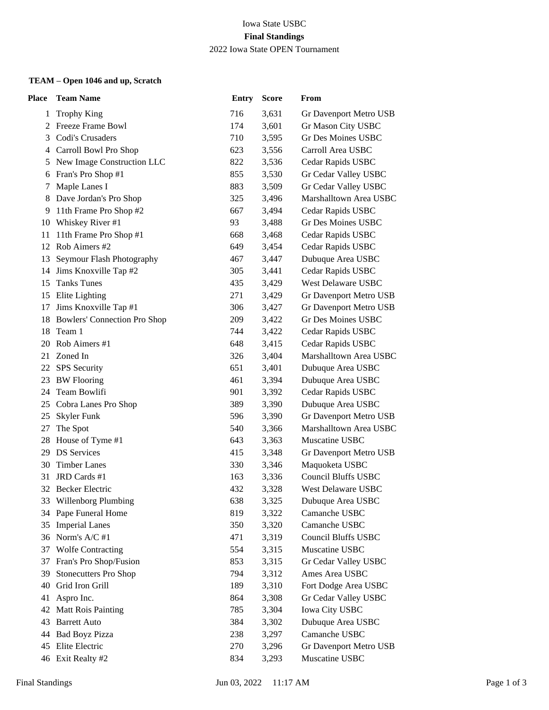#### Iowa State USBC **Final Standings** 2022 Iowa State OPEN Tournament

## **TEAM – Open 1046 and up, Scratch**

| Place    | <b>Team Name</b>                                | <b>Entry</b> | <b>Score</b>   | From                                          |
|----------|-------------------------------------------------|--------------|----------------|-----------------------------------------------|
| 1        | <b>Trophy King</b>                              | 716          | 3,631          | Gr Davenport Metro USB                        |
| 2        | Freeze Frame Bowl                               | 174          | 3,601          | Gr Mason City USBC                            |
| 3        | Codi's Crusaders                                | 710          | 3,595          | <b>Gr Des Moines USBC</b>                     |
| 4        | Carroll Bowl Pro Shop                           | 623          | 3,556          | Carroll Area USBC                             |
| 5        | New Image Construction LLC                      | 822          | 3,536          | Cedar Rapids USBC                             |
| 6        | Fran's Pro Shop #1                              | 855          | 3,530          | Gr Cedar Valley USBC                          |
| 7        | Maple Lanes I                                   | 883          | 3,509          | Gr Cedar Valley USBC                          |
| 8        | Dave Jordan's Pro Shop                          | 325          | 3,496          | Marshalltown Area USBC                        |
| 9.       | 11th Frame Pro Shop #2                          | 667          | 3,494          | Cedar Rapids USBC                             |
|          | 10 Whiskey River #1                             | 93           | 3,488          | Gr Des Moines USBC                            |
| 11       | 11th Frame Pro Shop #1                          | 668          | 3,468          | Cedar Rapids USBC                             |
|          | 12 Rob Aimers #2                                | 649          | 3,454          | Cedar Rapids USBC                             |
| 13       | Seymour Flash Photography                       | 467          | 3,447          | Dubuque Area USBC                             |
|          | 14 Jims Knoxville Tap #2                        | 305          | 3,441          | Cedar Rapids USBC                             |
| 15       | <b>Tanks Tunes</b>                              | 435          | 3,429          | West Delaware USBC                            |
| 15       | Elite Lighting                                  | 271          | 3,429          | Gr Davenport Metro USB                        |
| 17       | Jims Knoxville Tap #1                           | 306          | 3,427          | Gr Davenport Metro USB                        |
|          | 18 Bowlers' Connection Pro Shop                 | 209          | 3,422          | <b>Gr Des Moines USBC</b>                     |
| 18       | Team 1                                          | 744          | 3,422          | Cedar Rapids USBC                             |
| 20       | Rob Aimers #1                                   | 648          | 3,415          | Cedar Rapids USBC                             |
| 21       | Zoned In                                        | 326          | 3,404          | Marshalltown Area USBC                        |
| 22       | SPS Security                                    | 651          | 3,401          | Dubuque Area USBC                             |
| 23       | <b>BW</b> Flooring                              | 461          | 3,394          | Dubuque Area USBC                             |
| 24       | Team Bowlifi                                    | 901          | 3,392          | Cedar Rapids USBC                             |
| 25       | Cobra Lanes Pro Shop                            | 389          | 3,390          | Dubuque Area USBC                             |
| 25       | <b>Skyler Funk</b>                              | 596          | 3,390          | Gr Davenport Metro USB                        |
| 27       | The Spot                                        | 540          | 3,366          | Marshalltown Area USBC                        |
|          | 28 House of Tyme #1                             | 643          | 3,363          | Muscatine USBC                                |
|          | 29 DS Services                                  | 415          | 3,348          | Gr Davenport Metro USB                        |
| 30       | <b>Timber Lanes</b>                             | 330          | 3,346          | Maquoketa USBC                                |
| 31       | JRD Cards #1                                    | 163          | 3,336          | <b>Council Bluffs USBC</b>                    |
|          | 32 Becker Electric                              | 432          | 3,328          | West Delaware USBC                            |
|          | 33 Willenborg Plumbing                          | 638          | 3,325          | Dubuque Area USBC                             |
|          | 34 Pape Funeral Home                            | 819          | 3,322          | Camanche USBC                                 |
| 35       | <b>Imperial Lanes</b>                           | 350          | 3,320          | Camanche USBC                                 |
|          | 36 Norm's A/C #1                                | 471          | 3,319          | <b>Council Bluffs USBC</b>                    |
|          | 37 Wolfe Contracting                            | 554          | 3,315          | Muscatine USBC                                |
|          | 37 Fran's Pro Shop/Fusion                       | 853          | 3,315          | Gr Cedar Valley USBC                          |
| 39       | <b>Stonecutters Pro Shop</b><br>Grid Iron Grill | 794<br>189   | 3,312          | Ames Area USBC                                |
| 40<br>41 | Aspro Inc.                                      | 864          | 3,310          | Fort Dodge Area USBC                          |
|          |                                                 | 785          | 3,308          | Gr Cedar Valley USBC<br><b>Iowa City USBC</b> |
| 43       | 42 Matt Rois Painting<br><b>Barrett Auto</b>    | 384          | 3,304<br>3,302 | Dubuque Area USBC                             |
| 44       | <b>Bad Boyz Pizza</b>                           | 238          | 3,297          | Camanche USBC                                 |
|          | 45 Elite Electric                               | 270          | 3,296          | Gr Davenport Metro USB                        |
|          | 46 Exit Realty #2                               | 834          | 3,293          | Muscatine USBC                                |
|          |                                                 |              |                |                                               |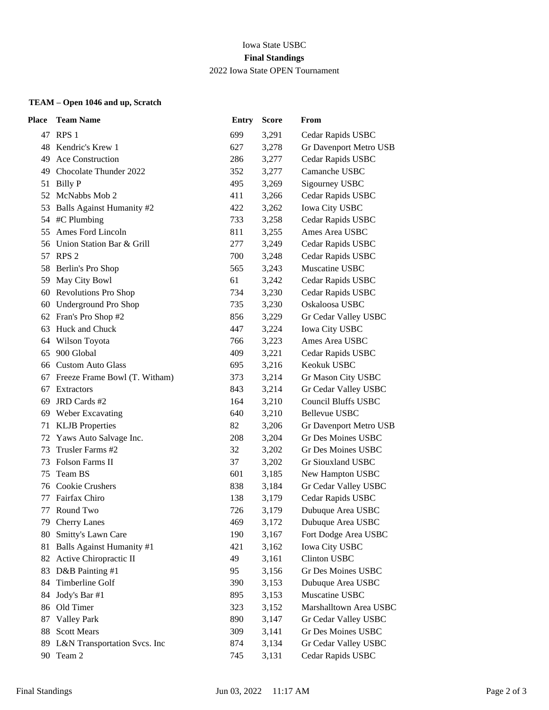## Iowa State USBC **Final Standings** 2022 Iowa State OPEN Tournament

## **TEAM – Open 1046 and up, Scratch**

| <b>Place</b> | <b>Team Name</b>                 | <b>Entry</b> | <b>Score</b> | From                       |
|--------------|----------------------------------|--------------|--------------|----------------------------|
|              | 47 RPS 1                         | 699          | 3,291        | Cedar Rapids USBC          |
|              | 48 Kendric's Krew 1              | 627          | 3,278        | Gr Davenport Metro USB     |
| 49           | Ace Construction                 | 286          | 3,277        | Cedar Rapids USBC          |
| 49           | Chocolate Thunder 2022           | 352          | 3,277        | Camanche USBC              |
| 51           | Billy P                          | 495          | 3,269        | Sigourney USBC             |
| 52           | McNabbs Mob 2                    | 411          | 3,266        | Cedar Rapids USBC          |
| 53           | <b>Balls Against Humanity #2</b> | 422          | 3,262        | <b>Iowa City USBC</b>      |
|              | 54 #C Plumbing                   | 733          | 3,258        | Cedar Rapids USBC          |
| 55           | Ames Ford Lincoln                | 811          | 3,255        | Ames Area USBC             |
| 56           | Union Station Bar & Grill        | 277          | 3,249        | Cedar Rapids USBC          |
| 57           | RPS <sub>2</sub>                 | 700          | 3,248        | Cedar Rapids USBC          |
| 58           | Berlin's Pro Shop                | 565          | 3,243        | Muscatine USBC             |
| 59           | May City Bowl                    | 61           | 3,242        | Cedar Rapids USBC          |
| 60           | <b>Revolutions Pro Shop</b>      | 734          | 3,230        | Cedar Rapids USBC          |
|              | 60 Underground Pro Shop          | 735          | 3,230        | Oskaloosa USBC             |
|              | 62 Fran's Pro Shop #2            | 856          | 3,229        | Gr Cedar Valley USBC       |
| 63           | Huck and Chuck                   | 447          | 3,224        | <b>Iowa City USBC</b>      |
| 64           | Wilson Toyota                    | 766          | 3,223        | Ames Area USBC             |
| 65           | 900 Global                       | 409          | 3,221        | Cedar Rapids USBC          |
| 66           | <b>Custom Auto Glass</b>         | 695          | 3,216        | Keokuk USBC                |
| 67           | Freeze Frame Bowl (T. Witham)    | 373          | 3,214        | Gr Mason City USBC         |
| 67           | Extractors                       | 843          | 3,214        | Gr Cedar Valley USBC       |
| 69           | JRD Cards #2                     | 164          | 3,210        | <b>Council Bluffs USBC</b> |
|              | 69 Weber Excavating              | 640          | 3,210        | <b>Bellevue USBC</b>       |
| 71           | <b>KLJB</b> Properties           | 82           | 3,206        | Gr Davenport Metro USB     |
| 72           | Yaws Auto Salvage Inc.           | 208          | 3,204        | Gr Des Moines USBC         |
| 73           | Trusler Farms #2                 | 32           | 3,202        | Gr Des Moines USBC         |
| 73           | <b>Folson Farms II</b>           | 37           | 3,202        | Gr Siouxland USBC          |
| 75           | Team BS                          | 601          | 3,185        | New Hampton USBC           |
| 76           | Cookie Crushers                  | 838          | 3,184        | Gr Cedar Valley USBC       |
| 77           | Fairfax Chiro                    | 138          | 3,179        | Cedar Rapids USBC          |
| 77           | Round Two                        | 726          | 3,179        | Dubuque Area USBC          |
|              | 79 Cherry Lanes                  | 469          | 3,172        | Dubuque Area USBC          |
| 80           | Smitty's Lawn Care               | 190          | 3,167        | Fort Dodge Area USBC       |
|              | 81 Balls Against Humanity #1     | 421          | 3,162        | <b>Iowa City USBC</b>      |
|              | 82 Active Chiropractic II        | 49           | 3,161        | <b>Clinton USBC</b>        |
|              | 83 D&B Painting #1               | 95           | 3,156        | <b>Gr Des Moines USBC</b>  |
| 84           | Timberline Golf                  | 390          | 3,153        | Dubuque Area USBC          |
| 84           | Jody's Bar #1                    | 895          | 3,153        | Muscatine USBC             |
| 86           | Old Timer                        | 323          | 3,152        | Marshalltown Area USBC     |
| 87           | <b>Valley Park</b>               | 890          | 3,147        | Gr Cedar Valley USBC       |
| 88           | <b>Scott Mears</b>               | 309          | 3,141        | Gr Des Moines USBC         |
|              | 89 L&N Transportation Svcs. Inc  | 874          | 3,134        | Gr Cedar Valley USBC       |
|              | 90 Team 2                        | 745          | 3,131        | Cedar Rapids USBC          |